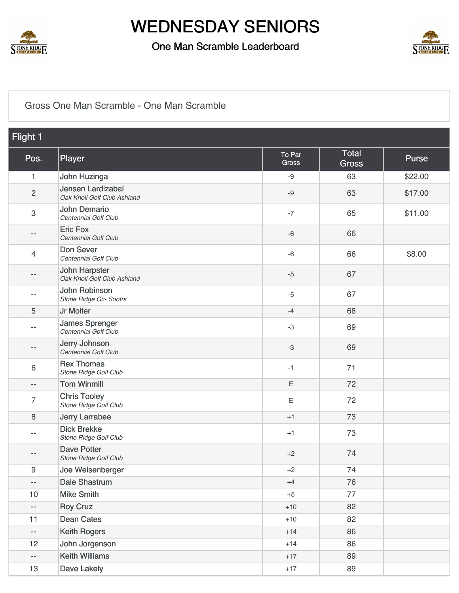

#### One Man Scramble Leaderboard



#### [Gross One Man Scramble - One Man Scramble](https://static.golfgenius.com/v2tournaments/8526410369277655939?called_from=&round_index=41)

| Flight 1                 |                                                     |                        |                       |              |
|--------------------------|-----------------------------------------------------|------------------------|-----------------------|--------------|
| Pos.                     | Player                                              | To Par<br><b>Gross</b> | Total<br><b>Gross</b> | <b>Purse</b> |
| $\mathbf{1}$             | John Huzinga                                        | $-9$                   | 63                    | \$22.00      |
| $\overline{c}$           | Jensen Lardizabal<br>Oak Knoll Golf Club Ashland    | $-9$                   | 63                    | \$17.00      |
| 3                        | <b>John Demario</b><br>Centennial Golf Club         | $-7$                   | 65                    | \$11.00      |
| $- -$                    | <b>Eric Fox</b><br>Centennial Golf Club             | $-6$                   | 66                    |              |
| 4                        | Don Sever<br>Centennial Golf Club                   | $-6$                   | 66                    | \$8.00       |
| $\qquad \qquad -$        | <b>John Harpster</b><br>Oak Knoll Golf Club Ashland | $-5$                   | 67                    |              |
| $\qquad \qquad -$        | John Robinson<br>Stone Ridge Gc- Sootrs             | $-5$                   | 67                    |              |
| 5                        | Jr Molter                                           | $-4$                   | 68                    |              |
| $-$                      | <b>James Sprenger</b><br>Centennial Golf Club       | $-3$                   | 69                    |              |
| $\qquad \qquad -$        | Jerry Johnson<br>Centennial Golf Club               | $-3$                   | 69                    |              |
| 6                        | <b>Rex Thomas</b><br>Stone Ridge Golf Club          | $-1$                   | 71                    |              |
| $\qquad \qquad -$        | <b>Tom Winmill</b>                                  | $\mathsf E$            | 72                    |              |
| 7                        | <b>Chris Tooley</b><br>Stone Ridge Golf Club        | E                      | 72                    |              |
| 8                        | <b>Jerry Larrabee</b>                               | $+1$                   | 73                    |              |
| $- -$                    | <b>Dick Brekke</b><br>Stone Ridge Golf Club         | $+1$                   | 73                    |              |
| --                       | <b>Dave Potter</b><br>Stone Ridge Golf Club         | $+2$                   | 74                    |              |
| $\boldsymbol{9}$         | Joe Weisenberger                                    | $+2$                   | 74                    |              |
| --                       | <b>Dale Shastrum</b>                                | $+4$                   | 76                    |              |
| 10                       | <b>Mike Smith</b>                                   | $+5$                   | 77                    |              |
| $\overline{\phantom{a}}$ | <b>Roy Cruz</b>                                     | $+10$                  | 82                    |              |
| 11                       | <b>Dean Cates</b>                                   | $+10$                  | 82                    |              |
| $\qquad \qquad -$        | <b>Keith Rogers</b>                                 | $+14$                  | 86                    |              |
| 12                       | John Jorgenson                                      | $+14$                  | 86                    |              |
| --                       | <b>Keith Williams</b>                               | $+17$                  | 89                    |              |
| 13                       | Dave Lakely                                         | $+17$                  | 89                    |              |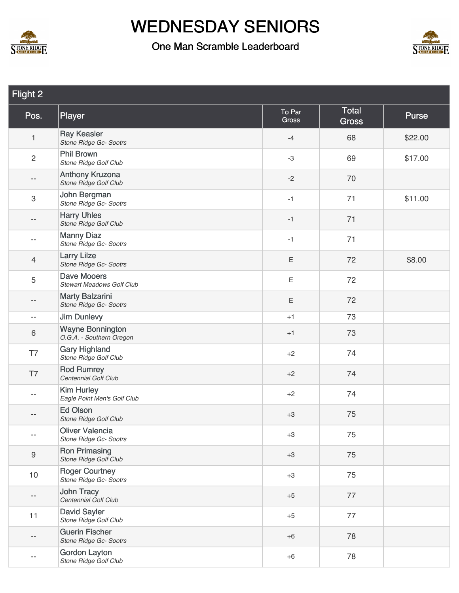



| Flight 2                  |                                                        |                 |                       |         |  |
|---------------------------|--------------------------------------------------------|-----------------|-----------------------|---------|--|
| Pos.                      | Player                                                 | To Par<br>Gross | Total<br><b>Gross</b> | Purse   |  |
| $\mathbf{1}$              | <b>Ray Keasler</b><br>Stone Ridge Gc-Sootrs            | $-4$            | 68                    | \$22.00 |  |
| $\overline{2}$            | <b>Phil Brown</b><br>Stone Ridge Golf Club             | $-3$            | 69                    | \$17.00 |  |
| --                        | Anthony Kruzona<br>Stone Ridge Golf Club               | $-2$            | 70                    |         |  |
| $\ensuremath{\mathsf{3}}$ | John Bergman<br>Stone Ridge Gc- Sootrs                 | $-1$            | 71                    | \$11.00 |  |
| --                        | <b>Harry Uhles</b><br>Stone Ridge Golf Club            | $-1$            | 71                    |         |  |
| --                        | <b>Manny Diaz</b><br>Stone Ridge Gc- Sootrs            | $-1$            | 71                    |         |  |
| 4                         | <b>Larry Lilze</b><br>Stone Ridge Gc- Sootrs           | Ε               | 72                    | \$8.00  |  |
| 5                         | <b>Dave Mooers</b><br><b>Stewart Meadows Golf Club</b> | $\mathsf E$     | 72                    |         |  |
| --                        | <b>Marty Balzarini</b><br>Stone Ridge Gc- Sootrs       | Ε               | 72                    |         |  |
| $\qquad \qquad -$         | <b>Jim Dunlevy</b>                                     | $+1$            | 73                    |         |  |
| $\,6\,$                   | <b>Wayne Bonnington</b><br>O.G.A. - Southern Oregon    | $+1$            | 73                    |         |  |
| T7                        | <b>Gary Highland</b><br>Stone Ridge Golf Club          | $+2$            | 74                    |         |  |
| T7                        | <b>Rod Rumrey</b><br>Centennial Golf Club              | $+2$            | 74                    |         |  |
| $- -$                     | <b>Kim Hurley</b><br>Eagle Point Men's Golf Club       | $+2$            | 74                    |         |  |
| --                        | <b>Ed Olson</b><br>Stone Ridge Golf Club               | $+3$            | 75                    |         |  |
| $- -$                     | <b>Oliver Valencia</b><br>Stone Ridge Gc- Sootrs       | $+3$            | 75                    |         |  |
| $\boldsymbol{9}$          | <b>Ron Primasing</b><br>Stone Ridge Golf Club          | $+3$            | 75                    |         |  |
| 10                        | <b>Roger Courtney</b><br>Stone Ridge Gc- Sootrs        | $+3$            | 75                    |         |  |
| --                        | John Tracy<br>Centennial Golf Club                     | $+5$            | 77                    |         |  |
| 11                        | <b>David Sayler</b><br>Stone Ridge Golf Club           | $+5$            | 77                    |         |  |
| $- -$                     | <b>Guerin Fischer</b><br>Stone Ridge Gc- Sootrs        | $+6$            | 78                    |         |  |
| --                        | <b>Gordon Layton</b><br>Stone Ridge Golf Club          | $+6$            | 78                    |         |  |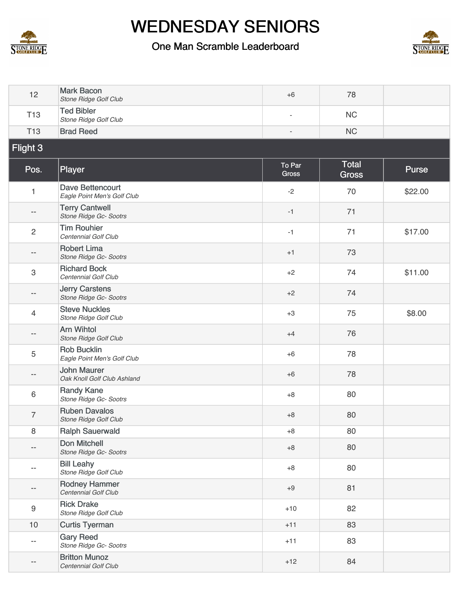



| 12             | <b>Mark Bacon</b><br><b>Stone Ridge Golf Club</b>      | $+6$            | 78                           |              |
|----------------|--------------------------------------------------------|-----------------|------------------------------|--------------|
| <b>T13</b>     | <b>Ted Bibler</b><br>Stone Ridge Golf Club             | ٠               | <b>NC</b>                    |              |
| <b>T13</b>     | <b>Brad Reed</b>                                       | $\overline{a}$  | <b>NC</b>                    |              |
| Flight 3       |                                                        |                 |                              |              |
| Pos.           | Player                                                 | To Par<br>Gross | <b>Total</b><br><b>Gross</b> | <b>Purse</b> |
| $\mathbf{1}$   | <b>Dave Bettencourt</b><br>Eagle Point Men's Golf Club | $-2$            | 70                           | \$22.00      |
| $- -$          | <b>Terry Cantwell</b><br>Stone Ridge Gc- Sootrs        | $-1$            | 71                           |              |
| $\mathbf{2}$   | <b>Tim Rouhier</b><br>Centennial Golf Club             | $-1$            | 71                           | \$17.00      |
| --             | <b>Robert Lima</b><br>Stone Ridge Gc- Sootrs           | $+1$            | 73                           |              |
| 3              | <b>Richard Bock</b><br>Centennial Golf Club            | $+2$            | 74                           | \$11.00      |
| $- -$          | <b>Jerry Carstens</b><br>Stone Ridge Gc- Sootrs        | $+2$            | 74                           |              |
| 4              | <b>Steve Nuckles</b><br>Stone Ridge Golf Club          | $+3$            | 75                           | \$8.00       |
| --             | <b>Arn Wihtol</b><br>Stone Ridge Golf Club             | $+4$            | 76                           |              |
| 5              | <b>Rob Bucklin</b><br>Eagle Point Men's Golf Club      | $+6$            | 78                           |              |
| --             | <b>John Maurer</b><br>Oak Knoll Golf Club Ashland      | $+6$            | 78                           |              |
| 6              | <b>Randy Kane</b><br>Stone Ridge Gc- Sootrs            | $+8$            | 80                           |              |
| $\overline{7}$ | <b>Ruben Davalos</b><br><b>Stone Ridge Golf Club</b>   | $+8$            | 80                           |              |
| 8              | <b>Ralph Sauerwald</b>                                 | $+8$            | 80                           |              |
| --             | Don Mitchell<br>Stone Ridge Gc- Sootrs                 | $+8$            | 80                           |              |
| $- -$          | <b>Bill Leahy</b><br>Stone Ridge Golf Club             | $+8$            | 80                           |              |
| $- -$          | <b>Rodney Hammer</b><br>Centennial Golf Club           | $+9$            | 81                           |              |
| $\hbox{9}$     | <b>Rick Drake</b><br>Stone Ridge Golf Club             | $+10$           | 82                           |              |
| 10             | <b>Curtis Tyerman</b>                                  | $+11$           | 83                           |              |
| --             | <b>Gary Reed</b><br>Stone Ridge Gc- Sootrs             | $+11$           | 83                           |              |
|                | <b>Britton Munoz</b><br>Centennial Golf Club           | $+12$           | 84                           |              |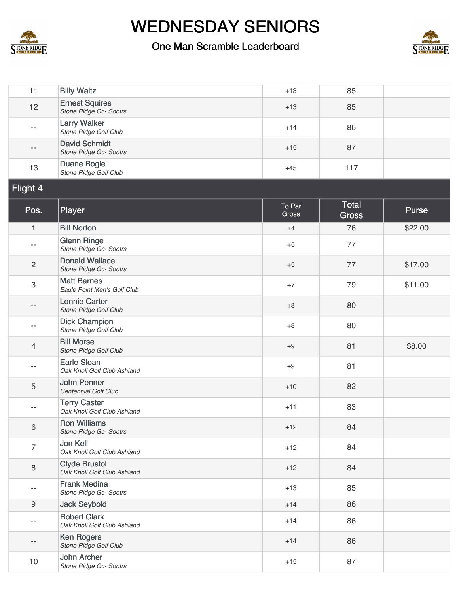



| 11                       | <b>Billy Waltz</b>                                  | $+13$                  | 85                    |         |
|--------------------------|-----------------------------------------------------|------------------------|-----------------------|---------|
| 12                       | <b>Ernest Squires</b><br>Stone Ridge Gc- Sootrs     | $+13$                  | 85                    |         |
| $\qquad \qquad -$        | <b>Larry Walker</b><br>Stone Ridge Golf Club        | $+14$                  | 86                    |         |
| $-\, -$                  | <b>David Schmidt</b><br>Stone Ridge Gc- Sootrs      | $+15$                  | 87                    |         |
| 13                       | Duane Bogle<br>Stone Ridge Golf Club                | $+45$                  | 117                   |         |
| Flight 4                 |                                                     |                        |                       |         |
| Pos.                     | Player                                              | To Par<br><b>Gross</b> | Total<br><b>Gross</b> | Purse   |
| $\mathbf{1}$             | <b>Bill Norton</b>                                  | $+4$                   | 76                    | \$22.00 |
| $\qquad \qquad -$        | <b>Glenn Ringe</b><br>Stone Ridge Gc- Sootrs        | $+5$                   | 77                    |         |
| $\mathbf{2}$             | <b>Donald Wallace</b><br>Stone Ridge Gc- Sootrs     | $+5$                   | 77                    | \$17.00 |
| $\,3$                    | <b>Matt Barnes</b><br>Eagle Point Men's Golf Club   | $+7$                   | 79                    | \$11.00 |
| $\overline{\phantom{a}}$ | <b>Lonnie Carter</b><br>Stone Ridge Golf Club       | $+8$                   | 80                    |         |
| $-$                      | <b>Dick Champion</b><br>Stone Ridge Golf Club       | $+8$                   | 80                    |         |
| $\overline{4}$           | <b>Bill Morse</b><br>Stone Ridge Golf Club          | $+9$                   | 81                    | \$8.00  |
| $\overline{\phantom{m}}$ | <b>Earle Sloan</b><br>Oak Knoll Golf Club Ashland   | $+9$                   | 81                    |         |
| $\sqrt{5}$               | <b>John Penner</b><br>Centennial Golf Club          | $+10$                  | 82                    |         |
| $- -$                    | <b>Terry Caster</b><br>Oak Knoll Golf Club Ashland  | $+11$                  | 83                    |         |
| $\,6\,$                  | <b>Ron Williams</b><br>Stone Ridge Gc-Sootrs        | $+12$                  | 84                    |         |
| $\overline{7}$           | <b>Jon Kell</b><br>Oak Knoll Golf Club Ashland      | $+12$                  | 84                    |         |
| 8                        | <b>Clyde Brustol</b><br>Oak Knoll Golf Club Ashland | $+12$                  | 84                    |         |
| $- -$                    | <b>Frank Medina</b><br>Stone Ridge Gc- Sootrs       | $+13$                  | 85                    |         |
| 9                        | <b>Jack Seybold</b>                                 | $+14$                  | 86                    |         |
| $\overline{\phantom{m}}$ | <b>Robert Clark</b><br>Oak Knoll Golf Club Ashland  | $+14$                  | 86                    |         |
| $- -$                    | <b>Ken Rogers</b><br>Stone Ridge Golf Club          | $+14$                  | 86                    |         |
| 10                       | John Archer<br>Stone Ridge Gc- Sootrs               | $+15$                  | 87                    |         |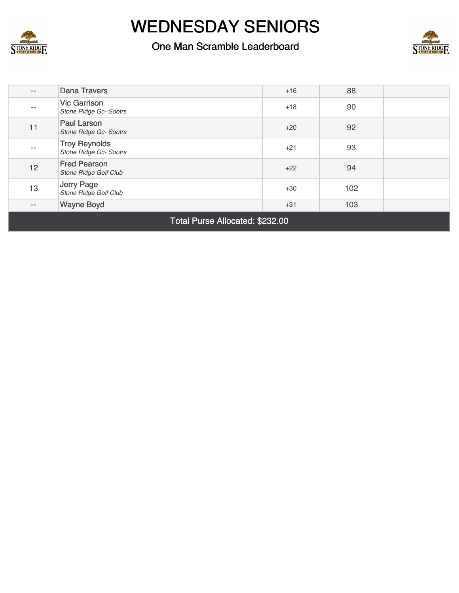

#### One Man Scramble Leaderboard



| $\qquad \qquad -$        | <b>Dana Travers</b>                                 | $+16$ | 88  |  |  |
|--------------------------|-----------------------------------------------------|-------|-----|--|--|
| --                       | <b>Vic Garrison</b><br>Stone Ridge Gc- Sootrs       | $+18$ | 90  |  |  |
| 11                       | Paul Larson<br>Stone Ridge Gc-Sootrs                | $+20$ | 92  |  |  |
| $- -$                    | <b>Troy Reynolds</b><br>Stone Ridge Gc- Sootrs      | $+21$ | 93  |  |  |
| 12                       | <b>Fred Pearson</b><br><b>Stone Ridge Golf Club</b> | $+22$ | 94  |  |  |
| 13                       | Jerry Page<br>Stone Ridge Golf Club                 | $+30$ | 102 |  |  |
| $\overline{\phantom{a}}$ | <b>Wayne Boyd</b>                                   | $+31$ | 103 |  |  |
|                          | ---                                                 |       |     |  |  |

Total Purse Allocated: \$232.00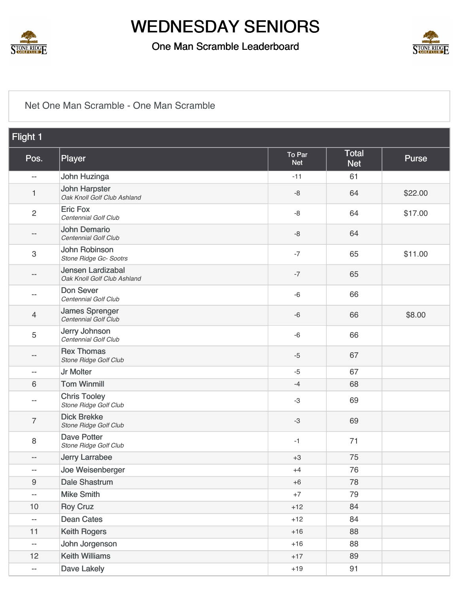

#### One Man Scramble Leaderboard



#### [Net One Man Scramble - One Man Scramble](https://static.golfgenius.com/v2tournaments/8526410373169970052?called_from=&round_index=41)

| Flight 1                 |                                                     |                      |                            |         |
|--------------------------|-----------------------------------------------------|----------------------|----------------------------|---------|
| Pos.                     | Player                                              | To Par<br><b>Net</b> | <b>Total</b><br><b>Net</b> | Purse   |
| $- -$                    | John Huzinga                                        | $-11$                | 61                         |         |
| 1                        | <b>John Harpster</b><br>Oak Knoll Golf Club Ashland | $-8$                 | 64                         | \$22.00 |
| $\overline{2}$           | <b>Eric Fox</b><br>Centennial Golf Club             | $-8$                 | 64                         | \$17.00 |
| $\qquad \qquad -$        | <b>John Demario</b><br>Centennial Golf Club         | $-8$                 | 64                         |         |
| $\,3$                    | John Robinson<br>Stone Ridge Gc- Sootrs             | $-7$                 | 65                         | \$11.00 |
| $\qquad \qquad -$        | Jensen Lardizabal<br>Oak Knoll Golf Club Ashland    | $-7$                 | 65                         |         |
| $-$                      | Don Sever<br>Centennial Golf Club                   | $-6$                 | 66                         |         |
| 4                        | <b>James Sprenger</b><br>Centennial Golf Club       | $-6$                 | 66                         | \$8.00  |
| 5                        | Jerry Johnson<br>Centennial Golf Club               | $-6$                 | 66                         |         |
| $\qquad \qquad -$        | <b>Rex Thomas</b><br>Stone Ridge Golf Club          | $-5$                 | 67                         |         |
| $\overline{\phantom{m}}$ | Jr Molter                                           | $-5$                 | 67                         |         |
| $\,6\,$                  | <b>Tom Winmill</b>                                  | $-4$                 | 68                         |         |
| $-\, -$                  | <b>Chris Tooley</b><br>Stone Ridge Golf Club        | -3                   | 69                         |         |
| $\overline{7}$           | <b>Dick Brekke</b><br>Stone Ridge Golf Club         | $-3$                 | 69                         |         |
| $\,8\,$                  | <b>Dave Potter</b><br>Stone Ridge Golf Club         | -1                   | 71                         |         |
| $\qquad \qquad -$        | <b>Jerry Larrabee</b>                               | $+3$                 | 75                         |         |
| --                       | Joe Weisenberger                                    | $+4$                 | 76                         |         |
| $\boldsymbol{9}$         | <b>Dale Shastrum</b>                                | $+6$                 | 78                         |         |
| $\overline{\phantom{a}}$ | <b>Mike Smith</b>                                   | $+7$                 | 79                         |         |
| 10                       | <b>Roy Cruz</b>                                     | $+12$                | 84                         |         |
| $\overline{\phantom{a}}$ | <b>Dean Cates</b>                                   | $+12$                | 84                         |         |
| 11                       | <b>Keith Rogers</b>                                 | $+16$                | 88                         |         |
| $\overline{\phantom{a}}$ | John Jorgenson                                      | $+16$                | 88                         |         |
| 12                       | <b>Keith Williams</b>                               | $+17$                | 89                         |         |
| $\overline{\phantom{a}}$ | Dave Lakely                                         | $+19$                | 91                         |         |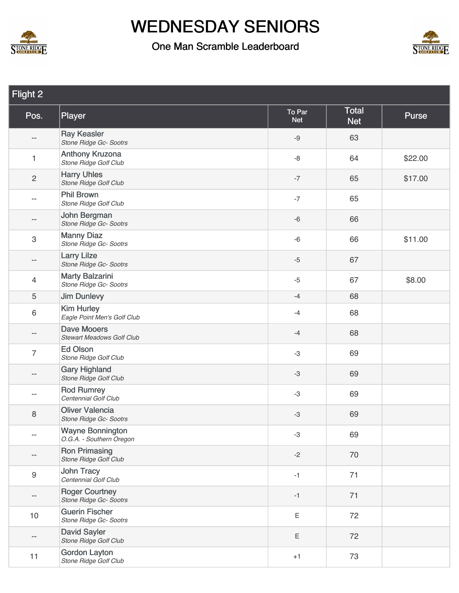



| Flight 2                 |                                                        |                      |                            |              |
|--------------------------|--------------------------------------------------------|----------------------|----------------------------|--------------|
| Pos.                     | Player                                                 | To Par<br><b>Net</b> | <b>Total</b><br><b>Net</b> | <b>Purse</b> |
| $-\, -$                  | <b>Ray Keasler</b><br>Stone Ridge Gc- Sootrs           | $-9$                 | 63                         |              |
| $\mathbf{1}$             | Anthony Kruzona<br>Stone Ridge Golf Club               | $-8$                 | 64                         | \$22.00      |
| $\sqrt{2}$               | <b>Harry Uhles</b><br>Stone Ridge Golf Club            | $-7$                 | 65                         | \$17.00      |
| $\overline{\phantom{a}}$ | <b>Phil Brown</b><br>Stone Ridge Golf Club             | $-7$                 | 65                         |              |
| $-\, -$                  | John Bergman<br>Stone Ridge Gc- Sootrs                 | $-6$                 | 66                         |              |
| $\,3$                    | <b>Manny Diaz</b><br>Stone Ridge Gc- Sootrs            | $-6$                 | 66                         | \$11.00      |
| --                       | <b>Larry Lilze</b><br>Stone Ridge Gc- Sootrs           | $-5$                 | 67                         |              |
| $\overline{4}$           | <b>Marty Balzarini</b><br>Stone Ridge Gc- Sootrs       | $-5$                 | 67                         | \$8.00       |
| 5                        | <b>Jim Dunlevy</b>                                     | $-4$                 | 68                         |              |
| $\,6\,$                  | <b>Kim Hurley</b><br>Eagle Point Men's Golf Club       | $-4$                 | 68                         |              |
| --                       | <b>Dave Mooers</b><br><b>Stewart Meadows Golf Club</b> | $-4$                 | 68                         |              |
| $\overline{7}$           | Ed Olson<br>Stone Ridge Golf Club                      | $-3$                 | 69                         |              |
| $\overline{\phantom{a}}$ | <b>Gary Highland</b><br>Stone Ridge Golf Club          | $-3$                 | 69                         |              |
| $-$                      | <b>Rod Rumrey</b><br>Centennial Golf Club              | $-3$                 | 69                         |              |
| 8                        | <b>Oliver Valencia</b><br>Stone Ridge Gc- Sootrs       | $-3$                 | 69                         |              |
|                          | <b>Wayne Bonnington</b><br>O.G.A. - Southern Oregon    | $-3$                 | 69                         |              |
|                          | <b>Ron Primasing</b><br>Stone Ridge Golf Club          | $-2$                 | 70                         |              |
| $9\,$                    | <b>John Tracy</b><br>Centennial Golf Club              | $-1$                 | 71                         |              |
| --                       | <b>Roger Courtney</b><br>Stone Ridge Gc- Sootrs        | $-1$                 | 71                         |              |
| 10                       | <b>Guerin Fischer</b><br>Stone Ridge Gc- Sootrs        | Ε                    | 72                         |              |
|                          | <b>David Sayler</b><br>Stone Ridge Golf Club           | Ε                    | 72                         |              |
| 11                       | <b>Gordon Layton</b><br>Stone Ridge Golf Club          | $+1$                 | 73                         |              |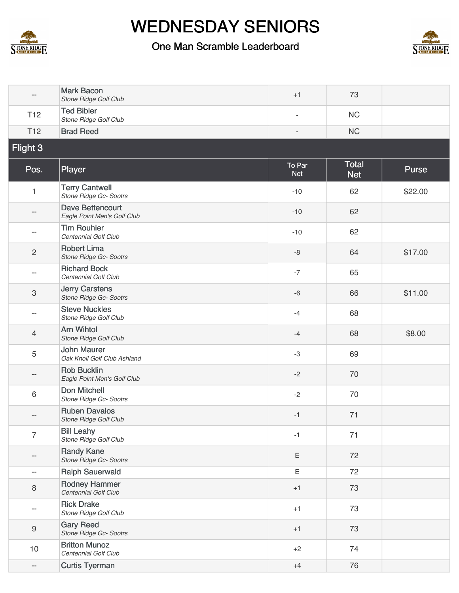



| --                        | <b>Mark Bacon</b><br>Stone Ridge Golf Club             | $+1$                     | 73                         |         |
|---------------------------|--------------------------------------------------------|--------------------------|----------------------------|---------|
| T <sub>12</sub>           | <b>Ted Bibler</b><br>Stone Ridge Golf Club             | $\overline{\phantom{a}}$ | <b>NC</b>                  |         |
| T <sub>12</sub>           | <b>Brad Reed</b>                                       | ÷,                       | <b>NC</b>                  |         |
| Flight 3                  |                                                        |                          |                            |         |
| Pos.                      | Player                                                 | To Par<br><b>Net</b>     | <b>Total</b><br><b>Net</b> | Purse   |
| 1                         | <b>Terry Cantwell</b><br>Stone Ridge Gc- Sootrs        | $-10$                    | 62                         | \$22.00 |
| --                        | <b>Dave Bettencourt</b><br>Eagle Point Men's Golf Club | $-10$                    | 62                         |         |
| --                        | <b>Tim Rouhier</b><br>Centennial Golf Club             | $-10$                    | 62                         |         |
| $\sqrt{2}$                | <b>Robert Lima</b><br>Stone Ridge Gc- Sootrs           | $-8$                     | 64                         | \$17.00 |
| --                        | <b>Richard Bock</b><br>Centennial Golf Club            | $-7$                     | 65                         |         |
| $\ensuremath{\mathsf{3}}$ | <b>Jerry Carstens</b><br>Stone Ridge Gc- Sootrs        | $-6$                     | 66                         | \$11.00 |
| --                        | <b>Steve Nuckles</b><br>Stone Ridge Golf Club          | $-4$                     | 68                         |         |
| 4                         | <b>Arn Wihtol</b><br>Stone Ridge Golf Club             | $-4$                     | 68                         | \$8.00  |
| 5                         | <b>John Maurer</b><br>Oak Knoll Golf Club Ashland      | $-3$                     | 69                         |         |
| --                        | <b>Rob Bucklin</b><br>Eagle Point Men's Golf Club      | $-2$                     | 70                         |         |
| 6                         | <b>Don Mitchell</b><br>Stone Ridge Gc- Sootrs          | $-2$                     | 70                         |         |
| --                        | <b>Ruben Davalos</b><br>Stone Ridge Golf Club          | $-1$                     | 71                         |         |
| 7                         | <b>Bill Leahy</b><br>Stone Ridge Golf Club             | $-1$                     | 71                         |         |
| --                        | <b>Randy Kane</b><br>Stone Ridge Gc- Sootrs            | Ε                        | 72                         |         |
| $-$                       | <b>Ralph Sauerwald</b>                                 | E                        | 72                         |         |
| 8                         | <b>Rodney Hammer</b><br>Centennial Golf Club           | $+1$                     | 73                         |         |
| --                        | <b>Rick Drake</b><br>Stone Ridge Golf Club             | $+1$                     | 73                         |         |
| $\mathsf 9$               | <b>Gary Reed</b><br>Stone Ridge Gc- Sootrs             | $+1$                     | 73                         |         |
| 10                        | <b>Britton Munoz</b><br>Centennial Golf Club           | $+2$                     | 74                         |         |
| $\overline{\phantom{a}}$  | <b>Curtis Tyerman</b>                                  | $+4$                     | 76                         |         |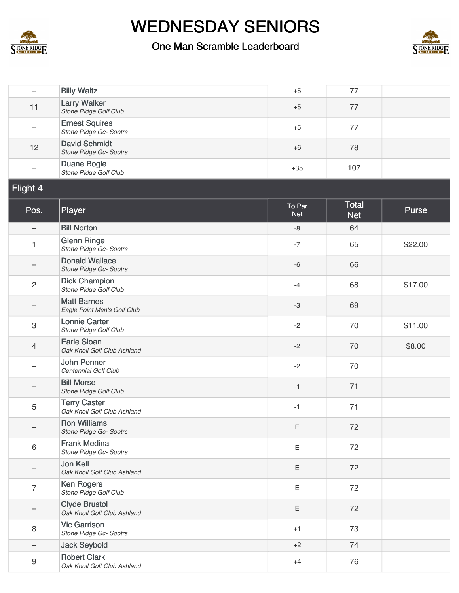



| --                       | <b>Billy Waltz</b>                                  | $+5$                 | 77                  |         |
|--------------------------|-----------------------------------------------------|----------------------|---------------------|---------|
| 11                       | <b>Larry Walker</b><br>Stone Ridge Golf Club        | $+5$                 | 77                  |         |
| $\overline{\phantom{m}}$ | <b>Ernest Squires</b><br>Stone Ridge Gc- Sootrs     | $+5$                 | 77                  |         |
| 12                       | <b>David Schmidt</b><br>Stone Ridge Gc- Sootrs      | $+6$                 | 78                  |         |
| $\overline{\phantom{m}}$ | Duane Bogle<br>Stone Ridge Golf Club                | $+35$                | 107                 |         |
| Flight 4                 |                                                     |                      |                     |         |
| Pos.                     | Player                                              | To Par<br><b>Net</b> | Total<br><b>Net</b> | Purse   |
| --                       | <b>Bill Norton</b>                                  | $-8$                 | 64                  |         |
| 1                        | <b>Glenn Ringe</b><br>Stone Ridge Gc- Sootrs        | $-7$                 | 65                  | \$22.00 |
| --                       | <b>Donald Wallace</b><br>Stone Ridge Gc- Sootrs     | $-6$                 | 66                  |         |
| $\overline{c}$           | <b>Dick Champion</b><br>Stone Ridge Golf Club       | $-4$                 | 68                  | \$17.00 |
| --                       | <b>Matt Barnes</b><br>Eagle Point Men's Golf Club   | $-3$                 | 69                  |         |
| 3                        | <b>Lonnie Carter</b><br>Stone Ridge Golf Club       | $-2$                 | 70                  | \$11.00 |
| 4                        | <b>Earle Sloan</b><br>Oak Knoll Golf Club Ashland   | $-2$                 | 70                  | \$8.00  |
| --                       | <b>John Penner</b><br>Centennial Golf Club          | $-2$                 | 70                  |         |
| --                       | <b>Bill Morse</b><br>Stone Ridge Golf Club          | $-1$                 | 71                  |         |
| 5                        | <b>Terry Caster</b><br>Oak Knoll Golf Club Ashland  | $-1$                 | 71                  |         |
|                          | <b>Ron Williams</b><br>Stone Ridge Gc- Sootrs       | Ε                    | 72                  |         |
| 6                        | <b>Frank Medina</b><br>Stone Ridge Gc- Sootrs       | Ε                    | 72                  |         |
|                          | Jon Kell<br>Oak Knoll Golf Club Ashland             | Ε                    | 72                  |         |
| 7                        | <b>Ken Rogers</b><br>Stone Ridge Golf Club          | $\mathsf E$          | 72                  |         |
|                          | <b>Clyde Brustol</b><br>Oak Knoll Golf Club Ashland | Ε                    | 72                  |         |
| 8                        | <b>Vic Garrison</b><br>Stone Ridge Gc- Sootrs       | $+1$                 | 73                  |         |
| --                       | <b>Jack Seybold</b>                                 | $+2$                 | 74                  |         |
| 9                        | <b>Robert Clark</b><br>Oak Knoll Golf Club Ashland  | $+4$                 | 76                  |         |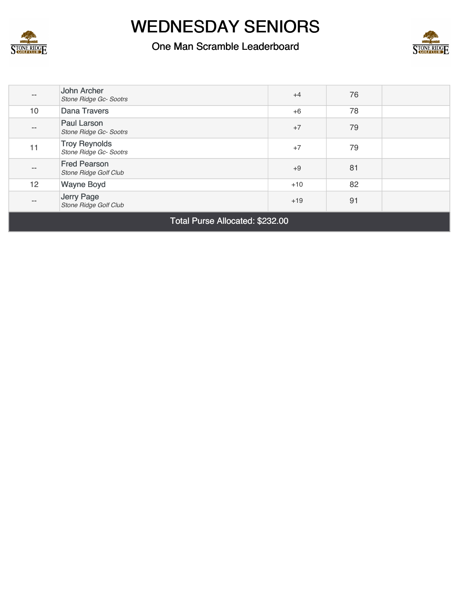

#### One Man Scramble Leaderboard



| $\qquad \qquad -$ | John Archer<br>Stone Ridge Gc- Sootrs          | $+4$  | 76 |  |
|-------------------|------------------------------------------------|-------|----|--|
| 10                | <b>Dana Travers</b>                            | $+6$  | 78 |  |
| $\qquad \qquad -$ | <b>Paul Larson</b><br>Stone Ridge Gc- Sootrs   | $+7$  | 79 |  |
| 11                | <b>Troy Reynolds</b><br>Stone Ridge Gc- Sootrs | $+7$  | 79 |  |
| $\qquad \qquad -$ | <b>Fred Pearson</b><br>Stone Ridge Golf Club   | $+9$  | 81 |  |
| 12                | <b>Wayne Boyd</b>                              | $+10$ | 82 |  |
| $\qquad \qquad -$ | Jerry Page<br>Stone Ridge Golf Club            | $+19$ | 91 |  |

Total Purse Allocated: \$232.00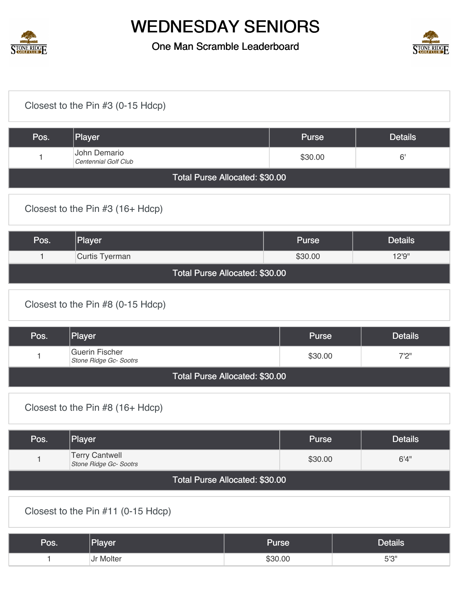



|                                    | Closest to the Pin #3 (0-15 Hdcp)               |                                |              |                |
|------------------------------------|-------------------------------------------------|--------------------------------|--------------|----------------|
| Pos.                               | Player                                          |                                | <b>Purse</b> | <b>Details</b> |
| 1                                  | John Demario<br>Centennial Golf Club            |                                | \$30.00      | 6'             |
|                                    |                                                 | Total Purse Allocated: \$30.00 |              |                |
|                                    | Closest to the Pin #3 (16+ Hdcp)                |                                |              |                |
| Pos.                               | Player                                          |                                | <b>Purse</b> | <b>Details</b> |
| $\mathbf{1}$                       | Curtis Tyerman                                  |                                | \$30.00      | 12'9"          |
|                                    |                                                 | Total Purse Allocated: \$30.00 |              |                |
|                                    | Closest to the Pin #8 (0-15 Hdcp)               |                                |              |                |
| Pos.                               | Player                                          |                                | <b>Purse</b> | <b>Details</b> |
| $\mathbf{1}$                       | <b>Guerin Fischer</b><br>Stone Ridge Gc- Sootrs |                                | \$30.00      | 7'2''          |
|                                    |                                                 | Total Purse Allocated: \$30.00 |              |                |
|                                    | Closest to the Pin $#8$ (16+ Hdcp)              |                                |              |                |
| Pos.                               | Player                                          |                                | <b>Purse</b> | <b>Details</b> |
| $\mathbf{1}$                       | <b>Terry Cantwell</b><br>Stone Ridge Gc- Sootrs |                                | \$30.00      | 6'4''          |
| Total Purse Allocated: \$30.00     |                                                 |                                |              |                |
| Closest to the Pin #11 (0-15 Hdcp) |                                                 |                                |              |                |
| Pos.                               | Player                                          | <b>Purse</b>                   |              | <b>Details</b> |
| $\mathbf{1}$                       | Jr Molter                                       | \$30.00                        |              | $5'3''$        |